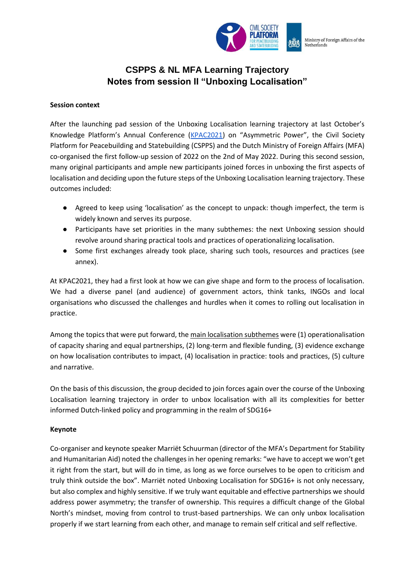

## **CSPPS & NL MFA Learning Trajectory Notes from session II "Unboxing Localisation"**

#### **Session context**

After the launching pad session of the Unboxing Localisation learning trajectory at last October's Knowledge Platform's Annual Conference ([KPAC2021](https://www.kpacreport.com/)) on "Asymmetric Power", the Civil Society Platform for Peacebuilding and Statebuilding (CSPPS) and the Dutch Ministry of Foreign Affairs (MFA) co-organised the first follow-up session of 2022 on the 2nd of May 2022. During this second session, many original participants and ample new participants joined forces in unboxing the first aspects of localisation and deciding upon the future steps of the Unboxing Localisation learning trajectory. These outcomes included:

- Agreed to keep using 'localisation' as the concept to unpack: though imperfect, the term is widely known and serves its purpose.
- Participants have set priorities in the many subthemes: the next Unboxing session should revolve around sharing practical tools and practices of operationalizing localisation.
- Some first exchanges already took place, sharing such tools, resources and practices (see annex).

At KPAC2021, they had a first look at how we can give shape and form to the process of localisation. We had a diverse panel (and audience) of government actors, think tanks, INGOs and local organisations who discussed the challenges and hurdles when it comes to rolling out localisation in practice.

Among the topics that were put forward, the main localisation subthemes were (1) operationalisation of capacity sharing and equal partnerships, (2) long-term and flexible funding, (3) evidence exchange on how localisation contributes to impact, (4) localisation in practice: tools and practices, (5) culture and narrative.

On the basis of this discussion, the group decided to join forces again over the course of the Unboxing Localisation learning trajectory in order to unbox localisation with all its complexities for better informed Dutch-linked policy and programming in the realm of SDG16+

#### **Keynote**

Co-organiser and keynote speaker Marriët Schuurman (director of the MFA's Department for Stability and Humanitarian Aid) noted the challenges in her opening remarks: "we have to accept we won't get it right from the start, but will do in time, as long as we force ourselves to be open to criticism and truly think outside the box". Marriët noted Unboxing Localisation for SDG16+ is not only necessary, but also complex and highly sensitive. If we truly want equitable and effective partnerships we should address power asymmetry; the transfer of ownership. This requires a difficult change of the Global North's mindset, moving from control to trust-based partnerships. We can only unbox localisation properly if we start learning from each other, and manage to remain self critical and self reflective.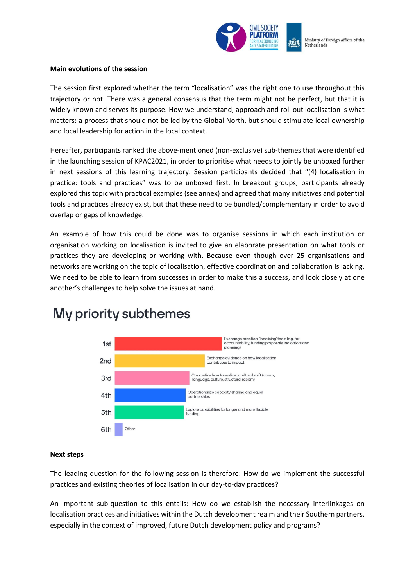

#### **Main evolutions of the session**

The session first explored whether the term "localisation" was the right one to use throughout this trajectory or not. There was a general consensus that the term might not be perfect, but that it is widely known and serves its purpose. How we understand, approach and roll out localisation is what matters: a process that should not be led by the Global North, but should stimulate local ownership and local leadership for action in the local context.

Hereafter, participants ranked the above-mentioned (non-exclusive) sub-themes that were identified in the launching session of KPAC2021, in order to prioritise what needs to jointly be unboxed further in next sessions of this learning trajectory. Session participants decided that "(4) localisation in practice: tools and practices" was to be unboxed first. In breakout groups, participants already explored this topic with practical examples (see annex) and agreed that many initiatives and potential tools and practices already exist, but that these need to be bundled/complementary in order to avoid overlap or gaps of knowledge.

An example of how this could be done was to organise sessions in which each institution or organisation working on localisation is invited to give an elaborate presentation on what tools or practices they are developing or working with. Because even though over 25 organisations and networks are working on the topic of localisation, effective coordination and collaboration is lacking. We need to be able to learn from successes in order to make this a success, and look closely at one another's challenges to help solve the issues at hand.



# My priority subthemes

#### **Next steps**

The leading question for the following session is therefore: How do we implement the successful practices and existing theories of localisation in our day-to-day practices?

An important sub-question to this entails: How do we establish the necessary interlinkages on localisation practices and initiatives within the Dutch development realm and their Southern partners, especially in the context of improved, future Dutch development policy and programs?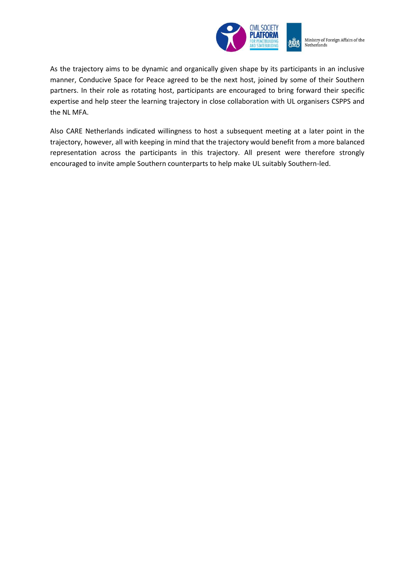

Ministry of Foreign Affairs of the Netherlands

As the trajectory aims to be dynamic and organically given shape by its participants in an inclusive manner, Conducive Space for Peace agreed to be the next host, joined by some of their Southern partners. In their role as rotating host, participants are encouraged to bring forward their specific expertise and help steer the learning trajectory in close collaboration with UL organisers CSPPS and the NL MFA.

Also CARE Netherlands indicated willingness to host a subsequent meeting at a later point in the trajectory, however, all with keeping in mind that the trajectory would benefit from a more balanced representation across the participants in this trajectory. All present were therefore strongly encouraged to invite ample Southern counterparts to help make UL suitably Southern-led.